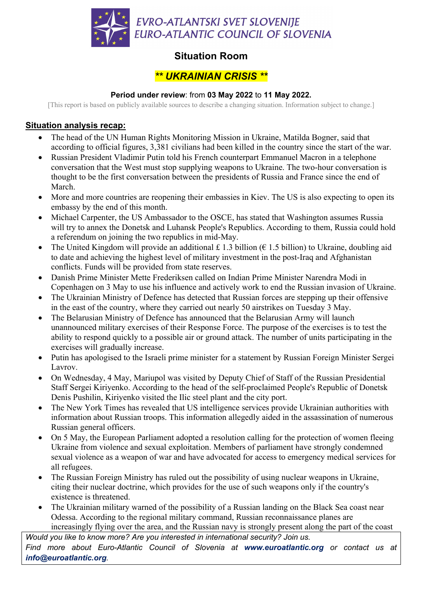

# **Situation Room**

## *\*\* UKRAINIAN CRISIS \*\**

### **Period under review**: from **03 May 2022** to **11 May 2022.**

[This report is based on publicly available sources to describe a changing situation. Information subject to change.]

### **Situation analysis recap:**

- The head of the UN Human Rights Monitoring Mission in Ukraine, Matilda Bogner, said that according to official figures, 3,381 civilians had been killed in the country since the start of the war.
- Russian President Vladimir Putin told his French counterpart Emmanuel Macron in a telephone conversation that the West must stop supplying weapons to Ukraine. The two-hour conversation is thought to be the first conversation between the presidents of Russia and France since the end of March.
- More and more countries are reopening their embassies in Kiev. The US is also expecting to open its embassy by the end of this month.
- Michael Carpenter, the US Ambassador to the OSCE, has stated that Washington assumes Russia will try to annex the Donetsk and Luhansk People's Republics. According to them, Russia could hold a referendum on joining the two republics in mid-May.
- The United Kingdom will provide an additional £ 1.3 billion ( $\epsilon$  1.5 billion) to Ukraine, doubling aid to date and achieving the highest level of military investment in the post-Iraq and Afghanistan conflicts. Funds will be provided from state reserves.
- Danish Prime Minister Mette Frederiksen called on Indian Prime Minister Narendra Modi in Copenhagen on 3 May to use his influence and actively work to end the Russian invasion of Ukraine.
- The Ukrainian Ministry of Defence has detected that Russian forces are stepping up their offensive in the east of the country, where they carried out nearly 50 airstrikes on Tuesday 3 May.
- The Belarusian Ministry of Defence has announced that the Belarusian Army will launch unannounced military exercises of their Response Force. The purpose of the exercises is to test the ability to respond quickly to a possible air or ground attack. The number of units participating in the exercises will gradually increase.
- Putin has apologised to the Israeli prime minister for a statement by Russian Foreign Minister Sergei Lavrov.
- On Wednesday, 4 May, Mariupol was visited by Deputy Chief of Staff of the Russian Presidential Staff Sergei Kiriyenko. According to the head of the self-proclaimed People's Republic of Donetsk Denis Pushilin, Kiriyenko visited the Ilic steel plant and the city port.
- The New York Times has revealed that US intelligence services provide Ukrainian authorities with information about Russian troops. This information allegedly aided in the assassination of numerous Russian general officers.
- On 5 May, the European Parliament adopted a resolution calling for the protection of women fleeing Ukraine from violence and sexual exploitation. Members of parliament have strongly condemned sexual violence as a weapon of war and have advocated for access to emergency medical services for all refugees.
- The Russian Foreign Ministry has ruled out the possibility of using nuclear weapons in Ukraine, citing their nuclear doctrine, which provides for the use of such weapons only if the country's existence is threatened.
- The Ukrainian military warned of the possibility of a Russian landing on the Black Sea coast near Odessa. According to the regional military command, Russian reconnaissance planes are increasingly flying over the area, and the Russian navy is strongly present along the part of the coast

*Would you like to know more? Are you interested in international security? Join us. Find more about Euro-Atlantic Council of Slovenia at www.euroatlantic.org or contact us at info@euroatlantic.org.*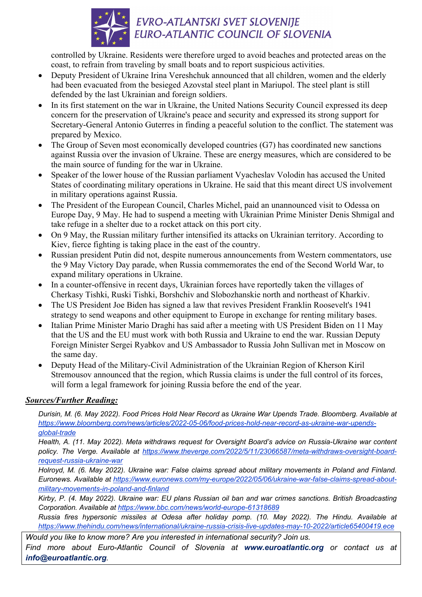

controlled by Ukraine. Residents were therefore urged to avoid beaches and protected areas on the coast, to refrain from traveling by small boats and to report suspicious activities.

- Deputy President of Ukraine Irina Vereshchuk announced that all children, women and the elderly had been evacuated from the besieged Azovstal steel plant in Mariupol. The steel plant is still defended by the last Ukrainian and foreign soldiers.
- In its first statement on the war in Ukraine, the United Nations Security Council expressed its deep concern for the preservation of Ukraine's peace and security and expressed its strong support for Secretary-General Antonio Guterres in finding a peaceful solution to the conflict. The statement was prepared by Mexico.
- The Group of Seven most economically developed countries (G7) has coordinated new sanctions against Russia over the invasion of Ukraine. These are energy measures, which are considered to be the main source of funding for the war in Ukraine.
- Speaker of the lower house of the Russian parliament Vyacheslav Volodin has accused the United States of coordinating military operations in Ukraine. He said that this meant direct US involvement in military operations against Russia.
- The President of the European Council, Charles Michel, paid an unannounced visit to Odessa on Europe Day, 9 May. He had to suspend a meeting with Ukrainian Prime Minister Denis Shmigal and take refuge in a shelter due to a rocket attack on this port city.
- On 9 May, the Russian military further intensified its attacks on Ukrainian territory. According to Kiev, fierce fighting is taking place in the east of the country.
- Russian president Putin did not, despite numerous announcements from Western commentators, use the 9 May Victory Day parade, when Russia commemorates the end of the Second World War, to expand military operations in Ukraine.
- In a counter-offensive in recent days, Ukrainian forces have reportedly taken the villages of Cherkasy Tishki, Ruski Tishki, Borshchiv and Slobozhanskie north and northeast of Kharkiv.
- The US President Joe Biden has signed a law that revives President Franklin Roosevelt's 1941 strategy to send weapons and other equipment to Europe in exchange for renting military bases.
- Italian Prime Minister Mario Draghi has said after a meeting with US President Biden on 11 May that the US and the EU must work with both Russia and Ukraine to end the war. Russian Deputy Foreign Minister Sergei Ryabkov and US Ambassador to Russia John Sullivan met in Moscow on the same day.
- Deputy Head of the Military-Civil Administration of the Ukrainian Region of Kherson Kiril Stremousov announced that the region, which Russia claims is under the full control of its forces, will form a legal framework for joining Russia before the end of the year.

#### *Sources/Further Reading:*

*Durisin, M. (6. May 2022). Food Prices Hold Near Record as Ukraine War Upends Trade. Bloomberg. Available at https://www.bloomberg.com/news/articles/2022-05-06/food-prices-hold-near-record-as-ukraine-war-upendsglobal-trade*

*Health, A. (11. May 2022). Meta withdraws request for Oversight Board's advice on Russia-Ukraine war content policy. The Verge. Available at https://www.theverge.com/2022/5/11/23066587/meta-withdraws-oversight-boardrequest-russia-ukraine-war*

*Holroyd, M. (6. May 2022). Ukraine war: False claims spread about military movements in Poland and Finland. Euronews. Available at https://www.euronews.com/my-europe/2022/05/06/ukraine-war-false-claims-spread-aboutmilitary-movements-in-poland-and-finland*

*Kirby, P. (4. May 2022). Ukraine war: EU plans Russian oil ban and war crimes sanctions. British Broadcasting Corporation. Available at https://www.bbc.com/news/world-europe-61318689*

*Russia fires hypersonic missiles at Odesa after holiday pomp. (10. May 2022). The Hindu. Available at https://www.thehindu.com/news/international/ukraine-russia-crisis-live-updates-may-10-2022/article65400419.ece*

*Would you like to know more? Are you interested in international security? Join us. Find more about Euro-Atlantic Council of Slovenia at www.euroatlantic.org or contact us at info@euroatlantic.org.*